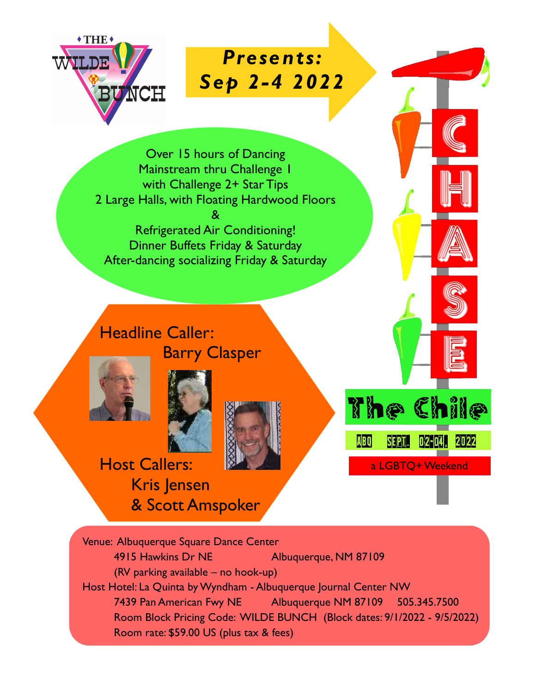

Presents: Sep 2-4 2022

Over 15 hours of Dancing Mainstream thru Challenge 1 with Challenge 2+ Star Tips 2 Large Halls, with Floating Hardwood Floors & Refrigerated Air Conditioning! Dinner Buffets Friday & Saturday After-dancing socializing Friday & Saturday

Headline Caller: Barry Clasper





Host Callers: Kris Jensen & Scott Amspoker



Venue: Albuquerque Square Dance Center 4915 Hawkins Dr NE Albuquerque, NM 87109 (RV parking available – no hook-up) Host Hotel: La Quinta by Wyndham - Albuquerque Journal Center NW 7439 Pan American Fwy NE Albuquerque NM 87109 505.345.7500 Room Block Pricing Code: WILDE BUNCH (Block dates: 9/1/2022 - 9/5/2022) Room rate: \$59.00 US (plus tax & fees)